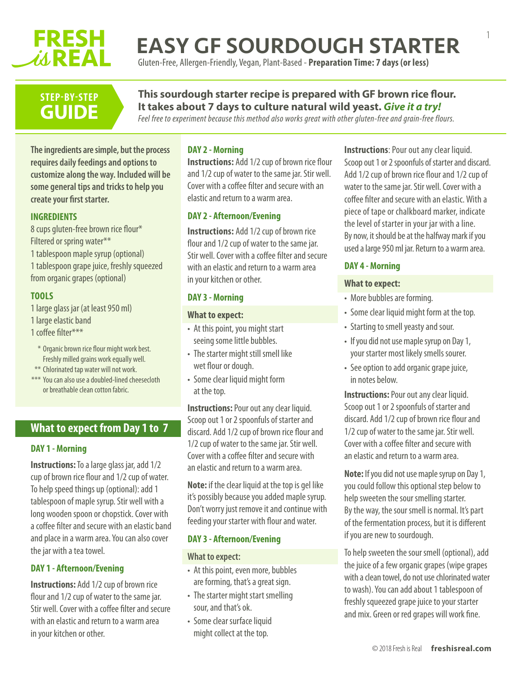# **FRESH WREAL**

# EASY GF SOURDOUGH STARTER

Gluten-Free, Allergen-Friendly, Vegan, Plant-Based - **Preparation Time: 7 days (or less)**

# **STEP-BY-STEP GUIDE**

## **This sourdough starter recipe is prepared with GF brown rice flour. It takes about 7 days to culture natural wild yeast.** *Give it a try! Feel free to experiment because this method also works great with other gluten-free and grain-free flours.*

**The ingredients are simple, but the process DAY 2 - Morning**

**requires daily feedings and options to customize along the way. Included will be some general tips and tricks to help you create your first starter.**

# **INGREDIENTS**

8 cups gluten-free brown rice flour\* Filtered or spring water\*\* 1 tablespoon maple syrup (optional) 1 tablespoon grape juice, freshly squeezed from organic grapes (optional)

# **TOOLS**

1 large glass jar (at least 950 ml)

- 1 large elastic band
- 1 coffee filter\*\*\*
- \* Organic brown rice flour might work best. Freshly milled grains work equally well.
- \*\* Chlorinated tap water will not work.
- \*\*\* You can also use a doubled-lined cheesecloth or breathable clean cotton fabric.

# **What to expect from Day 1 to 7**

# **DAY 1 - Morning**

**Instructions:**To a large glass jar, add 1/2 cup of brown rice flour and 1/2 cup of water. To help speed things up (optional): add 1 tablespoon of maple syrup. Stir well with a long wooden spoon or chopstick. Cover with a coffee filter and secure with an elastic band and place in a warm area. You can also cover the jar with a tea towel.

## **DAY 1 - Afternoon/Evening**

**Instructions:** Add 1/2 cup of brown rice flour and 1/2 cup of water to the same jar. Stir well. Cover with a coffee filter and secure with an elastic and return to a warm area in your kitchen or other.

**Instructions:** Add 1/2 cup of brown rice flour and 1/2 cup of water to the same jar. Stir well. Cover with a coffee filter and secure with an elastic and return to a warm area.

# **DAY 2 - Afternoon/Evening**

**Instructions:** Add 1/2 cup of brown rice flour and 1/2 cup of water to the same jar. Stir well. Cover with a coffee filter and secure with an elastic and return to a warm area in your kitchen or other.

# **DAY 3 - Morning**

## **What to expect:**

- At this point, you might start seeing some little bubbles.
- The starter might still smell like wet flour or dough.
- Some clear liquid might form at the top.

**Instructions:** Pour out any clear liquid. Scoop out 1 or 2 spoonfuls of starter and discard. Add 1/2 cup of brown rice flour and 1/2 cup of water to the same jar. Stir well. Cover with a coffee filter and secure with an elastic and return to a warm area.

**Note:** if the clear liquid at the top is gel like it's possibly because you added maple syrup. Don't worry just remove it and continue with feeding your starter with flour and water.

## **DAY 3 - Afternoon/Evening**

## **What to expect:**

- At this point, even more, bubbles are forming, that's a great sign.
- The starter might start smelling sour, and that's ok.
- Some clear surface liquid might collect at the top.

**Instructions: Pour out any clear liquid.** Scoop out 1 or 2 spoonfuls of starter and discard. Add 1/2 cup of brown rice flour and 1/2 cup of water to the same jar. Stir well. Cover with a coffee filter and secure with an elastic. With a piece of tape or chalkboard marker, indicate the level of starter in your jar with a line. By now, it should be at the halfway mark if you used a large 950 ml jar. Return to a warm area.

1

# **DAY 4 - Morning**

## **What to expect:**

- More bubbles are forming.
- Some clear liquid might form at the top.
- Starting to smell yeasty and sour.
- If you did not use maple syrup on Day 1, your starter most likely smells sourer.
- See option to add organic grape juice, in notes below.

**Instructions: Pour out any clear liquid.** Scoop out 1 or 2 spoonfuls of starter and discard. Add 1/2 cup of brown rice flour and 1/2 cup of water to the same jar. Stir well. Cover with a coffee filter and secure with an elastic and return to a warm area.

**Note:** If you did not use maple syrup on Day 1, you could follow this optional step below to help sweeten the sour smelling starter. By the way, the sour smell is normal. It's part of the fermentation process, but it is different if you are new to sourdough.

To help sweeten the sour smell (optional), add the juice of a few organic grapes (wipe grapes with a clean towel, do not use chlorinated water to wash). You can add about 1 tablespoon of freshly squeezed grape juice to your starter and mix. Green or red grapes will work fine.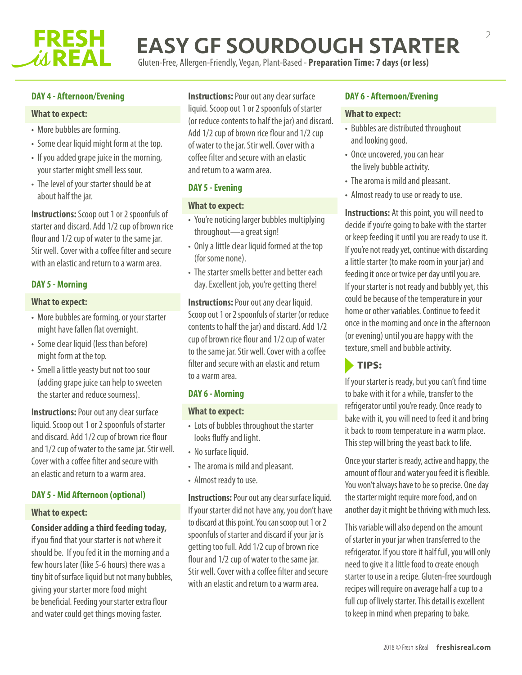

# EASY GF SOURDOUGH STARTER

Gluten-Free, Allergen-Friendly, Vegan, Plant-Based - **Preparation Time: 7 days (or less)**

## **DAY 4 - Afternoon/Evening**

#### **What to expect:**

- More bubbles are forming.
- Some clear liquid might form at the top.
- If you added grape juice in the morning, your starter might smell less sour.
- The level of your starter should be at about half the jar.

**Instructions:**Scoop out 1 or 2 spoonfuls of starter and discard. Add 1/2 cup of brown rice flour and 1/2 cup of water to the same jar. Stir well. Cover with a coffee filter and secure with an elastic and return to a warm area.

## **DAY 5 -Morning**

## **What to expect:**

- More bubbles are forming, or your starter might have fallen flat overnight.
- Some clear liquid (less than before) might form at the top.
- Smell a little yeasty but not too sour (adding grape juice can help to sweeten the starter and reduce sourness).

**Instructions: Pour out any clear surface** liquid. Scoop out 1 or 2 spoonfuls of starter and discard. Add 1/2 cup of brown rice flour and 1/2 cup of water to the same jar. Stir well. Cover with a coffee filter and secure with an elastic and return to a warm area.

#### **DAY 5 -Mid Afternoon (optional)**

#### **What to expect:**

#### **Consider adding a third feeding today,**

if you find that your starter is not where it should be. If you fed it in the morning and a few hours later (like 5-6 hours) there was a tiny bit of surface liquid but not many bubbles, giving your starter more food might be beneficial. Feeding your starter extra flour and water could get things moving faster.

**Instructions: Pour out any clear surface** liquid. Scoop out 1 or 2 spoonfuls of starter (or reduce contents to half the jar) and discard. Add 1/2 cup of brown rice flour and 1/2 cup of water to the jar. Stir well. Cover with a coffee filter and secure with an elastic and return to a warm area.

## **DAY 5 -Evening**

## **What to expect:**

- You're noticing larger bubbles multiplying throughout—a great sign!
- Only a little clear liquid formed at the top (for some none).
- The starter smells better and better each day. Excellent job, you're getting there!

**Instructions: Pour out any clear liquid.** Scoop out 1 or 2 spoonfuls of starter (or reduce contents to half the jar) and discard. Add 1/2 cup of brown rice flour and 1/2 cup of water to the same jar. Stir well. Cover with a coffee filter and secure with an elastic and return to a warm area.

#### **DAY 6 - Morning**

#### **What to expect:**

- Lots of bubbles throughout the starter looks fluffy and light.
- No surface liquid.
- The aroma is mild and pleasant.
- Almost ready to use.

**Instructions:** Pour out any clear surface liquid. If your starter did not have any, you don't have to discard at this point. You can scoop out 1 or 2 spoonfuls of starter and discard if your jar is getting too full. Add 1/2 cup of brown rice flour and 1/2 cup of water to the same jar. Stir well. Cover with a coffee filter and secure with an elastic and return to a warm area.

## **DAY 6 - Afternoon/Evening**

#### **What to expect:**

- Bubbles are distributed throughout and looking good.
- Once uncovered, you can hear the lively bubble activity.
- The aroma is mild and pleasant.
- Almost ready to use or ready to use.

**Instructions:** At this point, you will need to decide if you're going to bake with the starter or keep feeding it until you are ready to use it. If you're not ready yet, continue with discarding a little starter (to make room in your jar) and feeding it once or twice per day until you are. If your starter is not ready and bubbly yet, this could be because of the temperature in your home or other variables. Continue to feed it once in the morning and once in the afternoon (or evening) until you are happy with the texture, smell and bubble activity.

# TIPS:

If your starter is ready, but you can't find time to bake with it for a while, transfer to the refrigerator until you're ready. Once ready to bake with it, you will need to feed it and bring it back to room temperature in a warm place. This step will bring the yeast back to life.

Once your starter is ready, active and happy, the amount of flour and water you feed it is flexible. You won't always have to be so precise. One day the starter might require more food, and on another day it might be thriving with much less.

This variable will also depend on the amount of starter in your jar when transferred to the refrigerator. If you store it half full, you will only need to give it a little food to create enough starter to use in a recipe. Gluten-free sourdough recipes will require on average half a cup to a full cup of lively starter. This detail is excellent to keep in mind when preparing to bake.